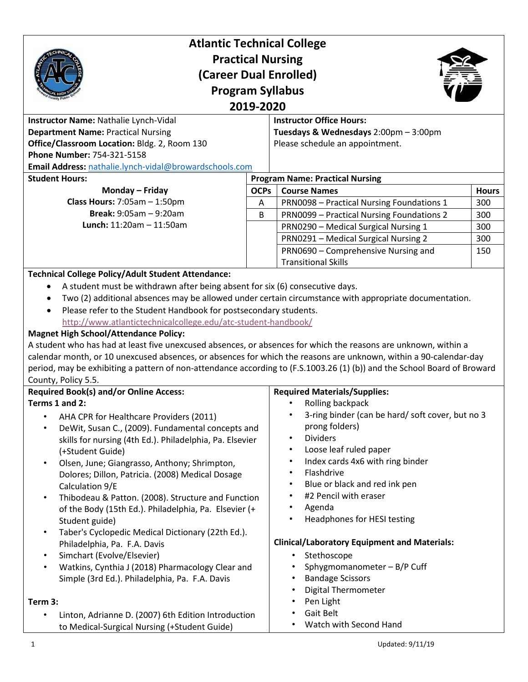| <b>Atlantic Technical College</b>                                                                                                                                                                                                                                                                                                                                                                                                                                                 |             |                                                             |              |                                                                            |  |                                       |  |
|-----------------------------------------------------------------------------------------------------------------------------------------------------------------------------------------------------------------------------------------------------------------------------------------------------------------------------------------------------------------------------------------------------------------------------------------------------------------------------------|-------------|-------------------------------------------------------------|--------------|----------------------------------------------------------------------------|--|---------------------------------------|--|
| <b>Practical Nursing</b>                                                                                                                                                                                                                                                                                                                                                                                                                                                          |             |                                                             |              |                                                                            |  |                                       |  |
| (Career Dual Enrolled)<br><b>Program Syllabus</b><br>2019-2020                                                                                                                                                                                                                                                                                                                                                                                                                    |             |                                                             |              |                                                                            |  |                                       |  |
|                                                                                                                                                                                                                                                                                                                                                                                                                                                                                   |             |                                                             |              | Instructor Name: Nathalie Lynch-Vidal                                      |  | <b>Instructor Office Hours:</b>       |  |
|                                                                                                                                                                                                                                                                                                                                                                                                                                                                                   |             |                                                             |              | <b>Department Name: Practical Nursing</b>                                  |  | Tuesdays & Wednesdays 2:00pm - 3:00pm |  |
|                                                                                                                                                                                                                                                                                                                                                                                                                                                                                   |             |                                                             |              | Office/Classroom Location: Bldg. 2, Room 130<br>Phone Number: 754-321-5158 |  | Please schedule an appointment.       |  |
| Email Address: nathalie.lynch-vidal@browardschools.com                                                                                                                                                                                                                                                                                                                                                                                                                            |             |                                                             |              |                                                                            |  |                                       |  |
| <b>Student Hours:</b>                                                                                                                                                                                                                                                                                                                                                                                                                                                             |             | <b>Program Name: Practical Nursing</b>                      |              |                                                                            |  |                                       |  |
| Monday - Friday                                                                                                                                                                                                                                                                                                                                                                                                                                                                   | <b>OCPs</b> | <b>Course Names</b>                                         | <b>Hours</b> |                                                                            |  |                                       |  |
| Class Hours: $7:05am - 1:50pm$                                                                                                                                                                                                                                                                                                                                                                                                                                                    | A           | <b>PRN0098 - Practical Nursing Foundations 1</b>            | 300          |                                                                            |  |                                       |  |
| <b>Break: <math>9:05am - 9:20am</math></b>                                                                                                                                                                                                                                                                                                                                                                                                                                        | B           | <b>PRN0099 - Practical Nursing Foundations 2</b>            | 300          |                                                                            |  |                                       |  |
| <b>Lunch:</b> $11:20am - 11:50am$                                                                                                                                                                                                                                                                                                                                                                                                                                                 |             | PRN0290 - Medical Surgical Nursing 1                        | 300          |                                                                            |  |                                       |  |
|                                                                                                                                                                                                                                                                                                                                                                                                                                                                                   |             | PRN0291 - Medical Surgical Nursing 2                        | 300          |                                                                            |  |                                       |  |
|                                                                                                                                                                                                                                                                                                                                                                                                                                                                                   |             | PRN0690 - Comprehensive Nursing and                         | 150          |                                                                            |  |                                       |  |
|                                                                                                                                                                                                                                                                                                                                                                                                                                                                                   |             | <b>Transitional Skills</b>                                  |              |                                                                            |  |                                       |  |
| Please refer to the Student Handbook for postsecondary students.                                                                                                                                                                                                                                                                                                                                                                                                                  |             |                                                             |              |                                                                            |  |                                       |  |
| http://www.atlantictechnicalcollege.edu/atc-student-handbook/<br><b>Magnet High School/Attendance Policy:</b><br>A student who has had at least five unexcused absences, or absences for which the reasons are unknown, within a<br>calendar month, or 10 unexcused absences, or absences for which the reasons are unknown, within a 90-calendar-day<br>period, may be exhibiting a pattern of non-attendance according to (F.S.1003.26 (1) (b)) and the School Board of Broward |             |                                                             |              |                                                                            |  |                                       |  |
| County, Policy 5.5.                                                                                                                                                                                                                                                                                                                                                                                                                                                               |             |                                                             |              |                                                                            |  |                                       |  |
| <b>Required Book(s) and/or Online Access:</b>                                                                                                                                                                                                                                                                                                                                                                                                                                     |             | <b>Required Materials/Supplies:</b>                         |              |                                                                            |  |                                       |  |
|                                                                                                                                                                                                                                                                                                                                                                                                                                                                                   |             | Rolling backpack                                            |              |                                                                            |  |                                       |  |
| AHA CPR for Healthcare Providers (2011)                                                                                                                                                                                                                                                                                                                                                                                                                                           |             | 3-ring binder (can be hard/ soft cover, but no 3            |              |                                                                            |  |                                       |  |
| DeWit, Susan C., (2009). Fundamental concepts and<br>$\bullet$                                                                                                                                                                                                                                                                                                                                                                                                                    |             | prong folders)                                              |              |                                                                            |  |                                       |  |
| skills for nursing (4th Ed.). Philadelphia, Pa. Elsevier                                                                                                                                                                                                                                                                                                                                                                                                                          |             | <b>Dividers</b><br>$\bullet$<br>$\bullet$                   |              |                                                                            |  |                                       |  |
| (+Student Guide)                                                                                                                                                                                                                                                                                                                                                                                                                                                                  |             | Loose leaf ruled paper<br>$\bullet$                         |              |                                                                            |  |                                       |  |
| Olsen, June; Giangrasso, Anthony; Shrimpton,<br>$\bullet$                                                                                                                                                                                                                                                                                                                                                                                                                         |             | Index cards 4x6 with ring binder<br>Flashdrive<br>$\bullet$ |              |                                                                            |  |                                       |  |
| Dolores; Dillon, Patricia. (2008) Medical Dosage                                                                                                                                                                                                                                                                                                                                                                                                                                  |             | Blue or black and red ink pen<br>$\bullet$                  |              |                                                                            |  |                                       |  |
| Calculation 9/E<br>Thibodeau & Patton. (2008). Structure and Function<br>$\bullet$                                                                                                                                                                                                                                                                                                                                                                                                |             | #2 Pencil with eraser                                       |              |                                                                            |  |                                       |  |
| of the Body (15th Ed.). Philadelphia, Pa. Elsevier (+                                                                                                                                                                                                                                                                                                                                                                                                                             |             | Agenda                                                      |              |                                                                            |  |                                       |  |
| Student guide)                                                                                                                                                                                                                                                                                                                                                                                                                                                                    |             | Headphones for HESI testing<br>$\bullet$                    |              |                                                                            |  |                                       |  |
| Taber's Cyclopedic Medical Dictionary (22th Ed.).                                                                                                                                                                                                                                                                                                                                                                                                                                 |             |                                                             |              |                                                                            |  |                                       |  |
| Philadelphia, Pa. F.A. Davis                                                                                                                                                                                                                                                                                                                                                                                                                                                      |             | <b>Clinical/Laboratory Equipment and Materials:</b>         |              |                                                                            |  |                                       |  |
| Simchart (Evolve/Elsevier)<br>$\bullet$                                                                                                                                                                                                                                                                                                                                                                                                                                           |             | Stethoscope                                                 |              |                                                                            |  |                                       |  |
| Terms 1 and 2:<br>Watkins, Cynthia J (2018) Pharmacology Clear and                                                                                                                                                                                                                                                                                                                                                                                                                |             | Sphygmomanometer - B/P Cuff                                 |              |                                                                            |  |                                       |  |
| Simple (3rd Ed.). Philadelphia, Pa. F.A. Davis                                                                                                                                                                                                                                                                                                                                                                                                                                    |             | <b>Bandage Scissors</b><br>٠                                |              |                                                                            |  |                                       |  |
|                                                                                                                                                                                                                                                                                                                                                                                                                                                                                   |             | <b>Digital Thermometer</b>                                  |              |                                                                            |  |                                       |  |
| Term 3:                                                                                                                                                                                                                                                                                                                                                                                                                                                                           |             | Pen Light                                                   |              |                                                                            |  |                                       |  |
| Linton, Adrianne D. (2007) 6th Edition Introduction<br>to Medical-Surgical Nursing (+Student Guide)                                                                                                                                                                                                                                                                                                                                                                               |             | Gait Belt<br>Watch with Second Hand                         |              |                                                                            |  |                                       |  |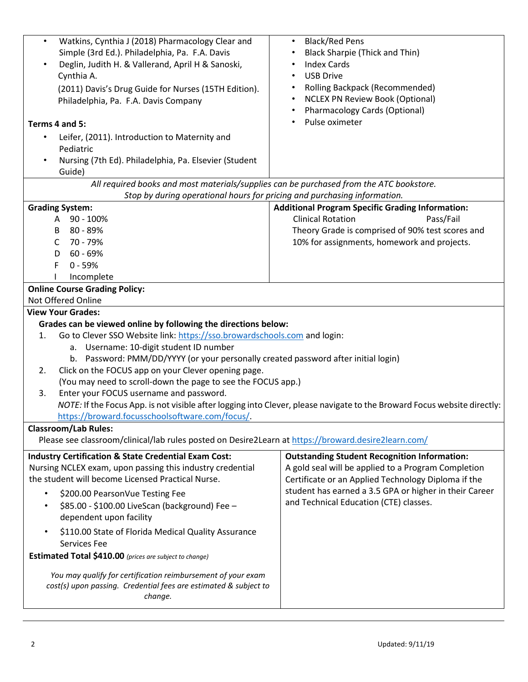| Watkins, Cynthia J (2018) Pharmacology Clear and<br>$\bullet$<br>Simple (3rd Ed.). Philadelphia, Pa. F.A. Davis<br>Deglin, Judith H. & Vallerand, April H & Sanoski,<br>Cynthia A.<br>(2011) Davis's Drug Guide for Nurses (15TH Edition).<br>Philadelphia, Pa. F.A. Davis Company<br>Terms 4 and 5:<br>Leifer, (2011). Introduction to Maternity and<br>$\bullet$<br>Pediatric | <b>Black/Red Pens</b><br>$\bullet$<br><b>Black Sharpie (Thick and Thin)</b><br><b>Index Cards</b><br><b>USB Drive</b><br><b>Rolling Backpack (Recommended)</b><br><b>NCLEX PN Review Book (Optional)</b><br>Pharmacology Cards (Optional)<br>Pulse oximeter |  |  |  |
|---------------------------------------------------------------------------------------------------------------------------------------------------------------------------------------------------------------------------------------------------------------------------------------------------------------------------------------------------------------------------------|-------------------------------------------------------------------------------------------------------------------------------------------------------------------------------------------------------------------------------------------------------------|--|--|--|
| Nursing (7th Ed). Philadelphia, Pa. Elsevier (Student<br>Guide)                                                                                                                                                                                                                                                                                                                 |                                                                                                                                                                                                                                                             |  |  |  |
| All required books and most materials/supplies can be purchased from the ATC bookstore.<br>Stop by during operational hours for pricing and purchasing information.                                                                                                                                                                                                             |                                                                                                                                                                                                                                                             |  |  |  |
| <b>Grading System:</b>                                                                                                                                                                                                                                                                                                                                                          | <b>Additional Program Specific Grading Information:</b>                                                                                                                                                                                                     |  |  |  |
| 90 - 100%<br>A                                                                                                                                                                                                                                                                                                                                                                  | <b>Clinical Rotation</b><br>Pass/Fail                                                                                                                                                                                                                       |  |  |  |
| 80 - 89%<br>В                                                                                                                                                                                                                                                                                                                                                                   | Theory Grade is comprised of 90% test scores and                                                                                                                                                                                                            |  |  |  |
| 70 - 79%<br>C                                                                                                                                                                                                                                                                                                                                                                   | 10% for assignments, homework and projects.                                                                                                                                                                                                                 |  |  |  |
| 60 - 69%<br>D                                                                                                                                                                                                                                                                                                                                                                   |                                                                                                                                                                                                                                                             |  |  |  |
| F<br>$0 - 59%$                                                                                                                                                                                                                                                                                                                                                                  |                                                                                                                                                                                                                                                             |  |  |  |
| Incomplete                                                                                                                                                                                                                                                                                                                                                                      |                                                                                                                                                                                                                                                             |  |  |  |
| <b>Online Course Grading Policy:</b>                                                                                                                                                                                                                                                                                                                                            |                                                                                                                                                                                                                                                             |  |  |  |
| Not Offered Online                                                                                                                                                                                                                                                                                                                                                              |                                                                                                                                                                                                                                                             |  |  |  |
| <b>View Your Grades:</b>                                                                                                                                                                                                                                                                                                                                                        |                                                                                                                                                                                                                                                             |  |  |  |
| Grades can be viewed online by following the directions below:                                                                                                                                                                                                                                                                                                                  |                                                                                                                                                                                                                                                             |  |  |  |
| Go to Clever SSO Website link: https://sso.browardschools.com and login:<br>1.                                                                                                                                                                                                                                                                                                  |                                                                                                                                                                                                                                                             |  |  |  |
| a. Username: 10-digit student ID number                                                                                                                                                                                                                                                                                                                                         |                                                                                                                                                                                                                                                             |  |  |  |
| b. Password: PMM/DD/YYYY (or your personally created password after initial login)                                                                                                                                                                                                                                                                                              |                                                                                                                                                                                                                                                             |  |  |  |
| Click on the FOCUS app on your Clever opening page.<br>2.                                                                                                                                                                                                                                                                                                                       |                                                                                                                                                                                                                                                             |  |  |  |
| (You may need to scroll-down the page to see the FOCUS app.)                                                                                                                                                                                                                                                                                                                    |                                                                                                                                                                                                                                                             |  |  |  |
| Enter your FOCUS username and password.<br>3.                                                                                                                                                                                                                                                                                                                                   |                                                                                                                                                                                                                                                             |  |  |  |
| NOTE: If the Focus App. is not visible after logging into Clever, please navigate to the Broward Focus website directly:                                                                                                                                                                                                                                                        |                                                                                                                                                                                                                                                             |  |  |  |
| https://broward.focusschoolsoftware.com/focus/.                                                                                                                                                                                                                                                                                                                                 |                                                                                                                                                                                                                                                             |  |  |  |
| <b>Classroom/Lab Rules:</b>                                                                                                                                                                                                                                                                                                                                                     |                                                                                                                                                                                                                                                             |  |  |  |
| Please see classroom/clinical/lab rules posted on Desire2Learn at https://broward.desire2learn.com/                                                                                                                                                                                                                                                                             |                                                                                                                                                                                                                                                             |  |  |  |
| <b>Industry Certification &amp; State Credential Exam Cost:</b><br>Nursing NCLEX exam, upon passing this industry credential<br>the student will become Licensed Practical Nurse.                                                                                                                                                                                               | <b>Outstanding Student Recognition Information:</b><br>A gold seal will be applied to a Program Completion<br>Certificate or an Applied Technology Diploma if the<br>student has earned a 3.5 GPA or higher in their Career                                 |  |  |  |
| \$200.00 PearsonVue Testing Fee<br>$\bullet$                                                                                                                                                                                                                                                                                                                                    |                                                                                                                                                                                                                                                             |  |  |  |
| \$85.00 - \$100.00 LiveScan (background) Fee -                                                                                                                                                                                                                                                                                                                                  | and Technical Education (CTE) classes.                                                                                                                                                                                                                      |  |  |  |
| dependent upon facility                                                                                                                                                                                                                                                                                                                                                         |                                                                                                                                                                                                                                                             |  |  |  |
| \$110.00 State of Florida Medical Quality Assurance<br>$\bullet$<br>Services Fee                                                                                                                                                                                                                                                                                                |                                                                                                                                                                                                                                                             |  |  |  |
| Estimated Total \$410.00 (prices are subject to change)                                                                                                                                                                                                                                                                                                                         |                                                                                                                                                                                                                                                             |  |  |  |
| You may qualify for certification reimbursement of your exam<br>cost(s) upon passing. Credential fees are estimated & subject to<br>change.                                                                                                                                                                                                                                     |                                                                                                                                                                                                                                                             |  |  |  |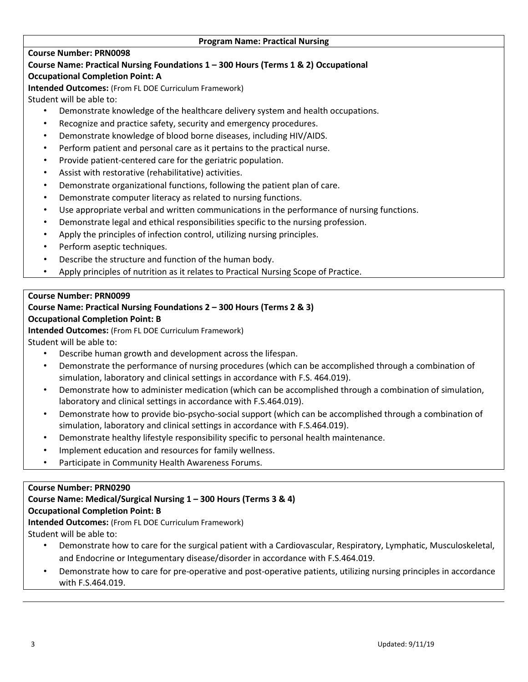#### **Program Name: Practical Nursing**

#### **Course Number: PRN0098**

# **Course Name: Practical Nursing Foundations 1 – 300 Hours (Terms 1 & 2) Occupational**

### **Occupational Completion Point: A**

**Intended Outcomes:** (From FL DOE Curriculum Framework)

Student will be able to:

- Demonstrate knowledge of the healthcare delivery system and health occupations.
- Recognize and practice safety, security and emergency procedures.
- Demonstrate knowledge of blood borne diseases, including HIV/AIDS.
- Perform patient and personal care as it pertains to the practical nurse.
- Provide patient-centered care for the geriatric population.
- Assist with restorative (rehabilitative) activities.
- Demonstrate organizational functions, following the patient plan of care.
- Demonstrate computer literacy as related to nursing functions.
- Use appropriate verbal and written communications in the performance of nursing functions.
- Demonstrate legal and ethical responsibilities specific to the nursing profession.
- Apply the principles of infection control, utilizing nursing principles.
- Perform aseptic techniques.
- Describe the structure and function of the human body.
- Apply principles of nutrition as it relates to Practical Nursing Scope of Practice.

# **Course Number: PRN0099**

# **Course Name: Practical Nursing Foundations 2 – 300 Hours (Terms 2 & 3)**

# **Occupational Completion Point: B**

**Intended Outcomes:** (From FL DOE Curriculum Framework)

Student will be able to:

- Describe human growth and development across the lifespan.
- Demonstrate the performance of nursing procedures (which can be accomplished through a combination of simulation, laboratory and clinical settings in accordance with F.S. 464.019).
- Demonstrate how to administer medication (which can be accomplished through a combination of simulation, laboratory and clinical settings in accordance with F.S.464.019).
- Demonstrate how to provide bio-psycho-social support (which can be accomplished through a combination of simulation, laboratory and clinical settings in accordance with F.S.464.019).
- Demonstrate healthy lifestyle responsibility specific to personal health maintenance.
- Implement education and resources for family wellness.
- Participate in Community Health Awareness Forums.

#### **Course Number: PRN0290**

# **Course Name: Medical/Surgical Nursing 1 – 300 Hours (Terms 3 & 4)**

#### **Occupational Completion Point: B**

**Intended Outcomes:** (From FL DOE Curriculum Framework)

Student will be able to:

- Demonstrate how to care for the surgical patient with a Cardiovascular, Respiratory, Lymphatic, Musculoskeletal, and Endocrine or Integumentary disease/disorder in accordance with F.S.464.019.
- Demonstrate how to care for pre-operative and post-operative patients, utilizing nursing principles in accordance with F.S.464.019.